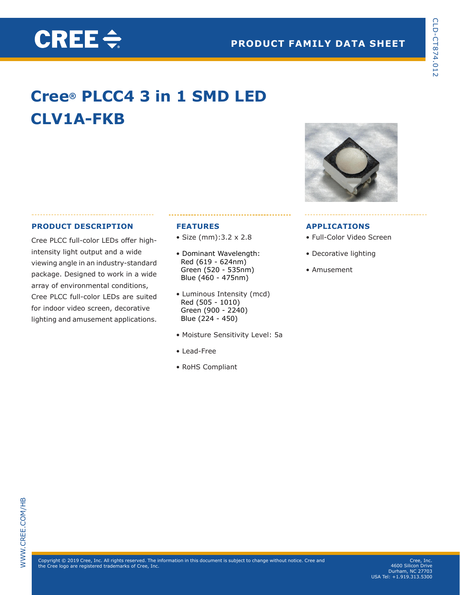# **Cree® PLCC4 3 in 1 SMD LED CLV1A-FKB**

### **PRODUCT DESCRIPTION**

CREE $\div$ 

Cree PLCC full-color LEDs offer highintensity light output and a wide viewing angle in an industry-standard package. Designed to work in a wide array of environmental conditions, Cree PLCC full-color LEDs are suited for indoor video screen, decorative lighting and amusement applications.

#### **FEATURES**

- Size (mm):3.2 x 2.8
- Dominant Wavelength: Red (619 - 624nm) Green (520 - 535nm) Blue (460 - 475nm)
- Luminous Intensity (mcd) Red (505 - 1010) Green (900 - 2240) Blue (224 - 450)
- Moisture Sensitivity Level: 5a
- Lead-Free
- RoHS Compliant



#### **APPLICATIONS**

- Full-Color Video Screen
- Decorative lighting
- Amusement

Copyright © 2019 Cree, Inc. All rights reserved. The information in this document is subject to change without notice. Cre<br>the Cree logo are registered trademarks of Cree, Inc. Copyright © 2019 Cree, Inc. All rights reserved. The information in this document is subject to change without notice. Cree and the Cree logo are registered trademarks of Cree, Inc.

Cree, Inc. 4600 Silicon Drive Durham, NC 27703 USA Tel: +1.919.313.5300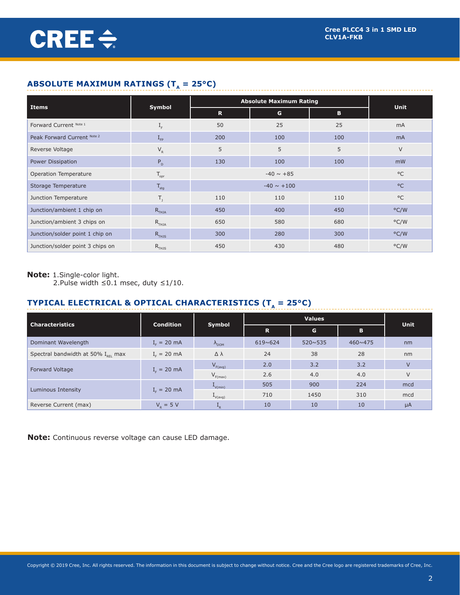# **ABSOLUTE MAXIMUM RATINGS (T<sub>a</sub> = 25°C)**

|                                  |                                               |             | <b>Absolute Maximum Rating</b> |     |                |  |  |  |
|----------------------------------|-----------------------------------------------|-------------|--------------------------------|-----|----------------|--|--|--|
| Items                            | Symbol                                        | $\mathbf R$ | G                              | B   | <b>Unit</b>    |  |  |  |
| Forward Current Note 1           | $I_F$                                         | 50          | 25                             | 25  | mA             |  |  |  |
| Peak Forward Current Note 2      | $I_{\text{FP}}$                               | 200         | 100<br>100                     |     | m <sub>A</sub> |  |  |  |
| Reverse Voltage                  | $\mathsf{V}_{\scriptscriptstyle{\mathsf{R}}}$ | 5           | 5<br>5                         |     | $\vee$         |  |  |  |
| Power Dissipation                | $P_{D}$                                       | 130         | 100                            | 100 | mW             |  |  |  |
| Operation Temperature            | $\mathsf{T}_{\mathsf{opr}}$                   |             | $-40 \sim +85$                 |     |                |  |  |  |
| Storage Temperature              | $T_{\text{stg}}$                              |             | $-40 \sim +100$                |     |                |  |  |  |
| Junction Temperature             | $T_{1}$                                       | 110         | 110                            | 110 | $^{\circ}$ C   |  |  |  |
| Junction/ambient 1 chip on       | $R$ <sub>THJA</sub>                           | 450         | 400                            | 450 | $\degree$ C/W  |  |  |  |
| Junction/ambient 3 chips on      | $R$ <sub>THJA</sub>                           | 650         | 580                            | 680 | $\degree$ C/W  |  |  |  |
| Junction/solder point 1 chip on  | $R$ <sub>THJS</sub>                           | 300         | 280                            | 300 |                |  |  |  |
| Junction/solder point 3 chips on | $R$ <sub>THJS</sub>                           | 450         | 430                            | 480 | °C/W           |  |  |  |

## **Note:** 1.Single-color light.

2.Pulse width ≤0.1 msec, duty ≤1/10.

# **TYPICAL ELECTRICAL & OPTICAL CHARACTERISTICS (T<sub>** $_A$ **</sub> = 25°C)**

| <b>Characteristics</b>                         | <b>Condition</b> |                     |                  | <b>Values</b>    | Unit             |         |
|------------------------------------------------|------------------|---------------------|------------------|------------------|------------------|---------|
|                                                |                  | Symbol              | G<br>$\mathbf R$ |                  | В                |         |
| Dominant Wavelength                            | $I_{F} = 20$ mA  | $\Lambda_{DOM}$     | 619~624          | $520 \times 535$ | $460 \times 475$ | nm      |
| Spectral bandwidth at 50% $I_{\text{per}}$ max | $I_{F} = 20$ mA  | $\Delta \lambda$    | 24               | 38               | 28               | nm      |
| Forward Voltage                                |                  | $V_{F(avg)}$        | 2.0              | 3.2              | 3.2              | $\vee$  |
|                                                | $I_{F} = 20$ mA  | $V_{F(max)}$        | 2.6              | 4.0              | 4.0              | $\vee$  |
|                                                |                  | $L_{V(min)}$        | 505              | 900              | 224              | mcd     |
| Luminous Intensity                             | $I_{F} = 20$ mA  | $I_{V(\text{avg})}$ | 710              | 1450             | 310              | mcd     |
| Reverse Current (max)                          | $V_{R} = 5 V$    | $L_R$               | 10               | 10               | 10               | $\mu A$ |

**Note:** Continuous reverse voltage can cause LED damage.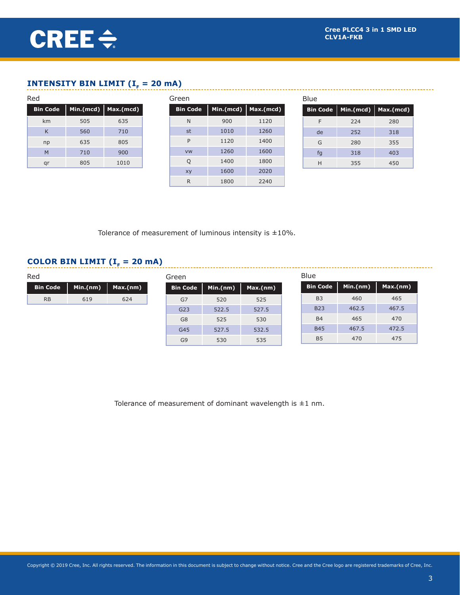# **INTENSITY BIN LIMIT (I<sub>F</sub> = 20 mA)**

| Red             |     |                       | Green           | <b>Blue</b> |                       |  |    |                                    |     |  |
|-----------------|-----|-----------------------|-----------------|-------------|-----------------------|--|----|------------------------------------|-----|--|
| <b>Bin Code</b> |     | Min.(mcd)   Max.(mcd) | <b>Bin Code</b> |             | Min.(mcd)   Max.(mcd) |  |    | Bin Code   Min. (mcd)   Max. (mcd) |     |  |
| km              | 505 | 635                   | N.              | 900         | 1120                  |  | F  | 224                                | 280 |  |
| K               | 560 | 710                   | st              | 1010        | 1260                  |  | de | 252                                | 318 |  |
| np              | 635 | 805                   | P               | 1120        | 1400                  |  | G  | 280                                | 355 |  |
| M               | 710 | 900                   | <b>VW</b>       | 1260        | 1600                  |  | fg | 318                                | 403 |  |
| qr              | 805 | 1010                  | Q               | 1400        | 1800                  |  | H  | 355                                | 450 |  |
|                 |     |                       | xy              | 1600        | 2020                  |  |    |                                    |     |  |
|                 |     |                       | $\mathsf{R}$    | 1800        | 2240                  |  |    |                                    |     |  |

Tolerance of measurement of luminous intensity is  $\pm 10\%$ .

# **COLOR BIN LIMIT (** $I<sub>F</sub> = 20$  **mA)**

| Red             |          |          | Green           |          |          | <b>Blue</b>     |          |          |
|-----------------|----------|----------|-----------------|----------|----------|-----------------|----------|----------|
| <b>Bin Code</b> | Min.(nm) | Max.(nm) | <b>Bin Code</b> | Min.(nm) | Max.(nm) | <b>Bin Code</b> | Min.(nm) | Max.(nm) |
| <b>RB</b>       | 619      | 624      | G7              | 520      | 525      | B <sub>3</sub>  | 460      |          |
|                 |          |          | G23             | 522.5    | 527.5    | <b>B23</b>      | 462.5    |          |
|                 |          |          | G8              | 525      | 530      | <b>B4</b>       | 465      |          |
|                 |          |          | G45             | 527.5    | 532.5    | <b>B45</b>      | 467.5    | 472.5    |
|                 |          |          | G <sub>9</sub>  | 530      | 535      | <b>B5</b>       | 470      |          |

Tolerance of measurement of dominant wavelength is  $\pm 1$  nm.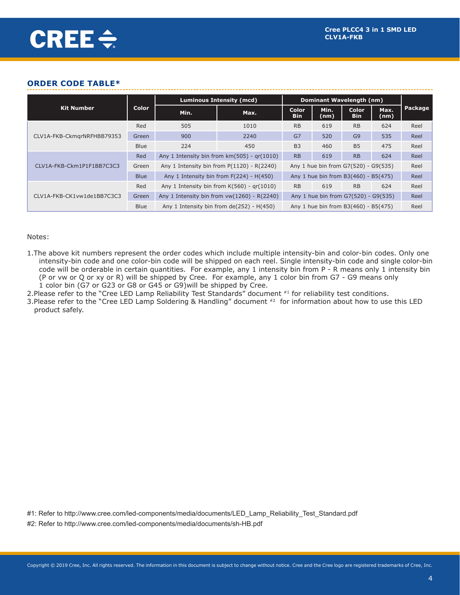#### **ORDER CODE TABLE\***

|                            |             |      | <b>Luminous Intensity (mcd)</b>                                                       | Dominant Wavelength (nm) |              |                            |              |         |
|----------------------------|-------------|------|---------------------------------------------------------------------------------------|--------------------------|--------------|----------------------------|--------------|---------|
| <b>Kit Number</b>          | Color       | Min. | Max.                                                                                  | Color<br><b>Bin</b>      | Min.<br>(nm) | <b>Color</b><br><b>Bin</b> | Max.<br>(nm) | Package |
|                            | Red         | 505  | 1010                                                                                  | <b>RB</b>                | 619          | <b>RB</b>                  | 624          | Reel    |
| CLV1A-FKB-CkmgrNRFHBB79353 | Green       | 900  | 2240                                                                                  | G7                       | 520          | G <sub>9</sub>             | 535          | Reel    |
|                            | <b>Blue</b> | 224  | 450                                                                                   | B <sub>3</sub>           | 460          | B <sub>5</sub>             | 475          | Reel    |
|                            | Red         |      | Any 1 Intensity bin from $km(505)$ - $gr(1010)$                                       | <b>RB</b>                | 619          | <b>RB</b>                  | 624          | Reel    |
| CLV1A-FKB-Ckm1P1F1BB7C3C3  | Green       |      | Any 1 Intensity bin from $P(1120) - R(2240)$<br>Any 1 hue bin from G7(520) - G9(535)  |                          |              |                            | Reel         |         |
|                            | <b>Blue</b> |      | Any 1 hue bin from B3(460) - B5(475)<br>Any 1 Intensity bin from $F(224) - H(450)$    |                          |              |                            | Reel         |         |
|                            | Red         |      | Any 1 Intensity bin from $K(560)$ - $gr(1010)$                                        | <b>RB</b>                | 619          | <b>RB</b>                  | 624          | Reel    |
| CLV1A-FKB-CK1vw1de1BB7C3C3 | Green       |      | Any 1 Intensity bin from $vw(1260) - R(2240)$<br>Any 1 hue bin from G7(520) - G9(535) |                          |              |                            | Reel         |         |
|                            | <b>Blue</b> |      | Any 1 hue bin from B3(460) - B5(475)<br>Any 1 Intensity bin from $de(252) - H(450)$   |                          |              |                            |              | Reel    |

#### Notes:

- 1.The above kit numbers represent the order codes which include multiple intensity-bin and color-bin codes. Only one intensity-bin code and one color-bin code will be shipped on each reel. Single intensity-bin code and single color-bin code will be orderable in certain quantities. For example, any 1 intensity bin from P - R means only 1 intensity bin (P or vw or Q or xy or R) will be shipped by Cree. For example, any 1 color bin from G7 - G9 means only 1 color bin (G7 or G23 or G8 or G45 or G9)will be shipped by Cree.
- 2. Please refer to the "Cree LED Lamp Reliability Test Standards" document #1 for reliability test conditions.
- 3. Please refer to the "Cree LED Lamp Soldering & Handling" document #2 for information about how to use this LED product safely.

#1: Refer to http://www.cree.com/led-components/media/documents/LED\_Lamp\_Reliability\_Test\_Standard.pdf #2: Refer to http://www.cree.com/led-components/media/documents/sh-HB.pdf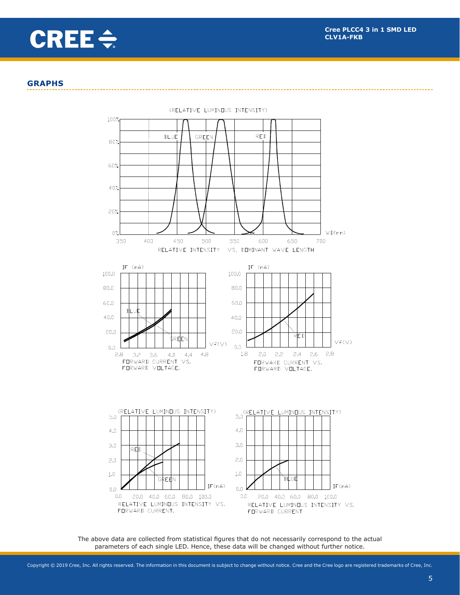# CREE $\div$

#### **GRAPHS**



(RELATIVE LUMINOUS INTENSITY)

The above data are collected from statistical figures that do not necessarily correspond to the actual parameters of each single LED. Hence, these data will be changed without further notice.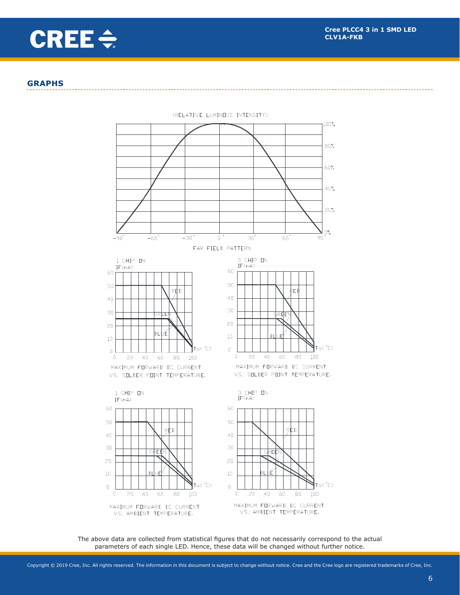

#### **GRAPHS**



The above data are collected from statistical figures that do not necessarily correspond to the actual parameters of each single LED. Hence, these data will be changed without further notice.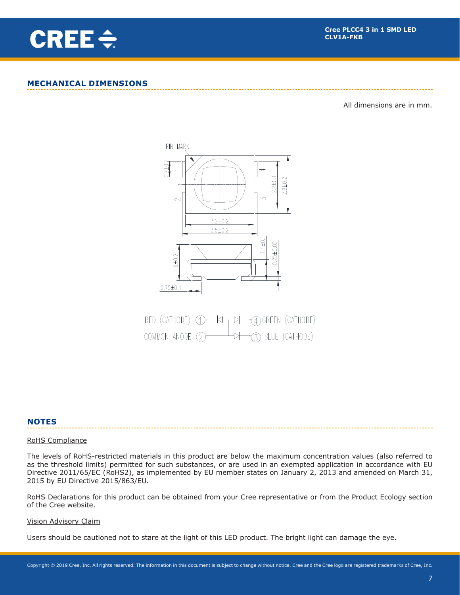

#### **MECHANICAL DIMENSIONS**

All dimensions are in mm.



|  | RED (CATHODE) 1 - KI + CA) GREEN (CATHODE)                |  |
|--|-----------------------------------------------------------|--|
|  | COMMON ANODE $(2)$ $\longrightarrow$ $(3)$ BLUE (CATHODE) |  |

#### **NOTES**

#### RoHS Compliance

The levels of RoHS-restricted materials in this product are below the maximum concentration values (also referred to as the threshold limits) permitted for such substances, or are used in an exempted application in accordance with EU Directive 2011/65/EC (RoHS2), as implemented by EU member states on January 2, 2013 and amended on March 31, 2015 by EU Directive 2015/863/EU.

RoHS Declarations for this product can be obtained from your Cree representative or from the Product Ecology section of the Cree website.

#### Vision Advisory Claim

Users should be cautioned not to stare at the light of this LED product. The bright light can damage the eye.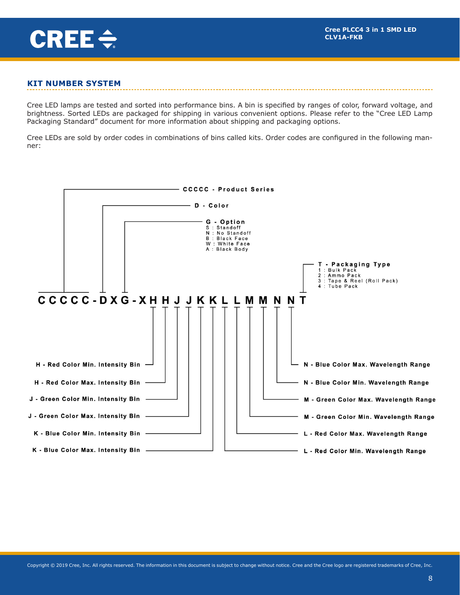

#### **KIT NUMBER SYSTEM**

Cree LED lamps are tested and sorted into performance bins. A bin is specified by ranges of color, forward voltage, and brightness. Sorted LEDs are packaged for shipping in various convenient options. Please refer to the "Cree LED Lamp Packaging Standard" document for more information about shipping and packaging options.

Cree LEDs are sold by order codes in combinations of bins called kits. Order codes are configured in the following manner:

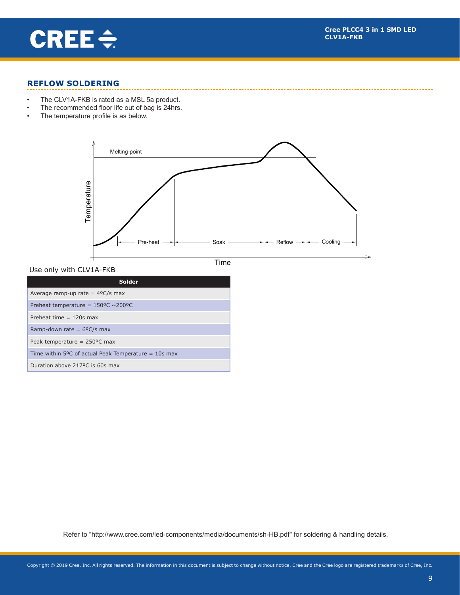

#### **REFLOW SOLDERING**

- • The CLV1A-FKB is rated as a MSL 5a product.
- The recommended floor life out of bag is 24hrs.<br>• The temperature profile is as below
- The temperature profile is as below.



Use only with CLV1A-FKB **Use all SMD besides LP6-NPP1-01-N1**

Time

| <b>Solder</b>                                                  |
|----------------------------------------------------------------|
| Average ramp-up rate = $4^{\circ}C/s$ max                      |
| Preheat temperature = $150^{\circ}$ C ~200°C                   |
| Preheat time $= 120s$ max                                      |
| Ramp-down rate = $6^{\circ}C/s$ max                            |
| Peak temperature = $250^{\circ}$ C max                         |
| Time within 5 $\degree$ C of actual Peak Temperature = 10s max |
| Duration above 217°C is 60s max                                |

Refer to "http://www.cree.com/led-components/media/documents/sh-HB.pdf" for soldering & handling details.

7.0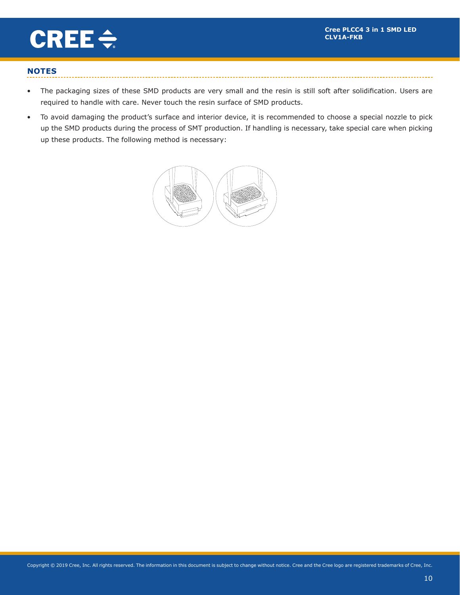picks and products are producted and product the construction of the product of the product of the product of  $\eta$ 

Rev. NO. : 16



# **NOTES**

- The packaging sizes of these SMD products are very small and the resin is still soft after solidification. Users are required to handle with care. Never touch the resin surface of SMD products.
- To avoid damaging the product's surface and interior device, it is recommended to choose a special nozzle to pick up the SMD products during the process of SMT production. If handling is necessary, take special care when picking up these products. The following method is necessary: The SMD Fig. Theorem SMD Fig. The SMD Fig. The SMD Fig. 3